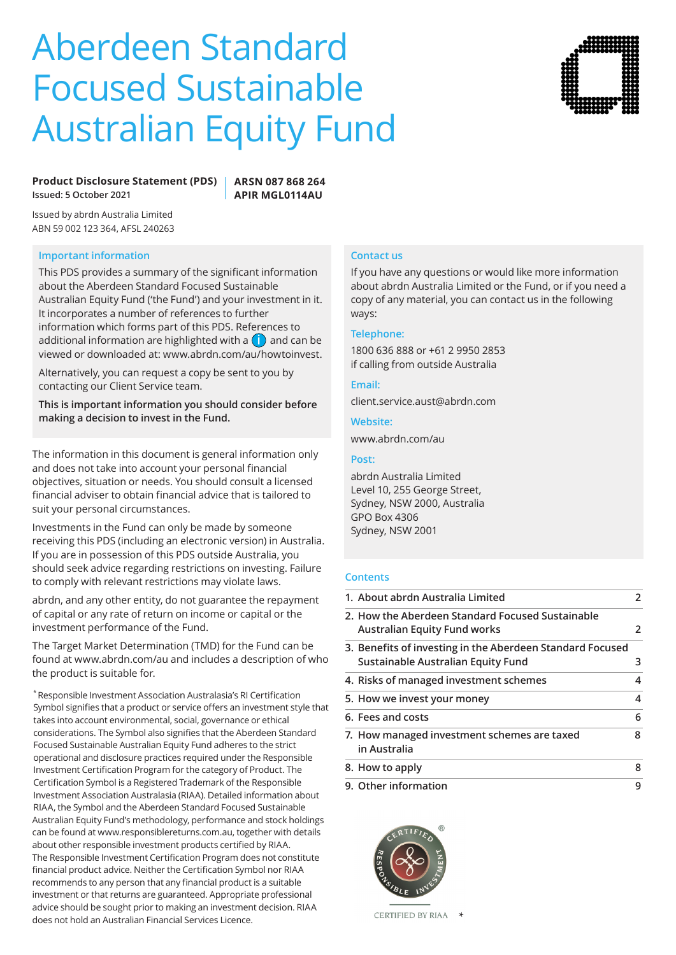# Aberdeen Standard Focused Sustainable Australian Equity Fund



## **Product Disclosure Statement (PDS) Issued: 5 October 2021**

**ARSN 087 868 264 APIR MGL0114AU**

Issued by abrdn Australia Limited ABN 59 002 123 364, AFSL 240263

## **Important information**

This PDS provides a summary of the significant information about the Aberdeen Standard Focused Sustainable Australian Equity Fund ('the Fund') and your investment in it. It incorporates a number of references to further information which forms part of this PDS. References to additional information are highlighted with a **i** and can be viewed or downloaded at: www.abrdn.com/au/howtoinvest.

Alternatively, you can request a copy be sent to you by contacting our Client Service team.

**This is important information you should consider before making a decision to invest in the Fund.**

The information in this document is general information only and does not take into account your personal financial objectives, situation or needs. You should consult a licensed financial adviser to obtain financial advice that is tailored to suit your personal circumstances.

Investments in the Fund can only be made by someone receiving this PDS (including an electronic version) in Australia. If you are in possession of this PDS outside Australia, you should seek advice regarding restrictions on investing. Failure to comply with relevant restrictions may violate laws.

abrdn, and any other entity, do not guarantee the repayment of capital or any rate of return on income or capital or the investment performance of the Fund.

The Target Market Determination (TMD) for the Fund can be found at www.abrdn.com/au and includes a description of who the product is suitable for.

\* Responsible Investment Association Australasia's RI Certification Symbol signifies that a product or service offers an investment style that takes into account environmental, social, governance or ethical considerations. The Symbol also signifies that the Aberdeen Standard Focused Sustainable Australian Equity Fund adheres to the strict operational and disclosure practices required under the Responsible Investment Certification Program for the category of Product. The Certification Symbol is a Registered Trademark of the Responsible Investment Association Australasia (RIAA). Detailed information about RIAA, the Symbol and the Aberdeen Standard Focused Sustainable Australian Equity Fund's methodology, performance and stock holdings can be found at www.responsiblereturns.com.au, together with details about other responsible investment products certified by RIAA. The Responsible Investment Certification Program does not constitute financial product advice. Neither the Certification Symbol nor RIAA recommends to any person that any financial product is a suitable investment or that returns are guaranteed. Appropriate professional advice should be sought prior to making an investment decision. RIAA does not hold an Australian Financial Services Licence.

# **Contact us**

If you have any questions or would like more information about abrdn Australia Limited or the Fund, or if you need a copy of any material, you can contact us in the following ways:

#### **Telephone:**

1800 636 888 or +61 2 9950 2853 if calling from outside Australia

#### **Email:**

client.service.aust@abrdn.com

#### **Website:**

www.abrdn.com/au

## **Post:**

abrdn Australia Limited Level 10, 255 George Street, Sydney, NSW 2000, Australia GPO Box 4306 Sydney, NSW 2001

## **Contents**

| 1. About abrdn Australia Limited                                                                | 2 |
|-------------------------------------------------------------------------------------------------|---|
| 2. How the Aberdeen Standard Focused Sustainable<br><b>Australian Equity Fund works</b>         | 2 |
| 3. Benefits of investing in the Aberdeen Standard Focused<br>Sustainable Australian Equity Fund | 3 |
| 4. Risks of managed investment schemes                                                          | 4 |
| 5. How we invest your money                                                                     | 4 |
| 6. Fees and costs                                                                               | 6 |
| 7. How managed investment schemes are taxed<br>in Australia                                     | 8 |
| 8. How to apply                                                                                 | 8 |
| 9. Other information                                                                            | 9 |

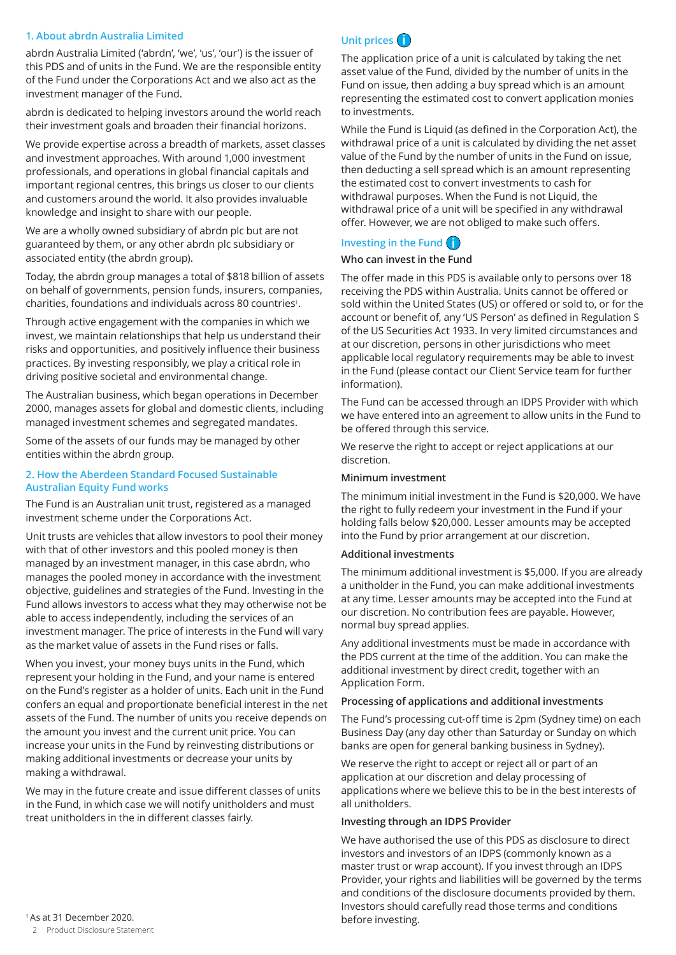## **1. About abrdn Australia Limited**

abrdn Australia Limited ('abrdn', 'we', 'us', 'our') is the issuer of this PDS and of units in the Fund. We are the responsible entity of the Fund under the Corporations Act and we also act as the investment manager of the Fund.

abrdn is dedicated to helping investors around the world reach their investment goals and broaden their financial horizons.

We provide expertise across a breadth of markets, asset classes and investment approaches. With around 1,000 investment professionals, and operations in global financial capitals and important regional centres, this brings us closer to our clients and customers around the world. It also provides invaluable knowledge and insight to share with our people.

We are a wholly owned subsidiary of abrdn plc but are not guaranteed by them, or any other abrdn plc subsidiary or associated entity (the abrdn group).

Today, the abrdn group manages a total of \$818 billion of assets on behalf of governments, pension funds, insurers, companies, charities, foundations and individuals across 80 countries1.

Through active engagement with the companies in which we invest, we maintain relationships that help us understand their risks and opportunities, and positively influence their business practices. By investing responsibly, we play a critical role in driving positive societal and environmental change.

The Australian business, which began operations in December 2000, manages assets for global and domestic clients, including managed investment schemes and segregated mandates.

Some of the assets of our funds may be managed by other entities within the abrdn group.

## **2. How the Aberdeen Standard Focused Sustainable Australian Equity Fund works**

The Fund is an Australian unit trust, registered as a managed investment scheme under the Corporations Act.

Unit trusts are vehicles that allow investors to pool their money with that of other investors and this pooled money is then managed by an investment manager, in this case abrdn, who manages the pooled money in accordance with the investment objective, guidelines and strategies of the Fund. Investing in the Fund allows investors to access what they may otherwise not be able to access independently, including the services of an investment manager. The price of interests in the Fund will vary as the market value of assets in the Fund rises or falls.

When you invest, your money buys units in the Fund, which represent your holding in the Fund, and your name is entered on the Fund's register as a holder of units. Each unit in the Fund confers an equal and proportionate beneficial interest in the net assets of the Fund. The number of units you receive depends on the amount you invest and the current unit price. You can increase your units in the Fund by reinvesting distributions or making additional investments or decrease your units by making a withdrawal.

We may in the future create and issue different classes of units in the Fund, in which case we will notify unitholders and must treat unitholders in the in different classes fairly.

# **Unit prices i**

The application price of a unit is calculated by taking the net asset value of the Fund, divided by the number of units in the Fund on issue, then adding a buy spread which is an amount representing the estimated cost to convert application monies to investments.

While the Fund is Liquid (as defined in the Corporation Act), the withdrawal price of a unit is calculated by dividing the net asset value of the Fund by the number of units in the Fund on issue, then deducting a sell spread which is an amount representing the estimated cost to convert investments to cash for withdrawal purposes. When the Fund is not Liquid, the withdrawal price of a unit will be specified in any withdrawal offer. However, we are not obliged to make such offers.

# **Investing in the Fund i**

## **Who can invest in the Fund**

The offer made in this PDS is available only to persons over 18 receiving the PDS within Australia. Units cannot be offered or sold within the United States (US) or offered or sold to, or for the account or benefit of, any 'US Person' as defined in Regulation S of the US Securities Act 1933. In very limited circumstances and at our discretion, persons in other jurisdictions who meet applicable local regulatory requirements may be able to invest in the Fund (please contact our Client Service team for further information).

The Fund can be accessed through an IDPS Provider with which we have entered into an agreement to allow units in the Fund to be offered through this service.

We reserve the right to accept or reject applications at our discretion.

## **Minimum investment**

The minimum initial investment in the Fund is \$20,000. We have the right to fully redeem your investment in the Fund if your holding falls below \$20,000. Lesser amounts may be accepted into the Fund by prior arrangement at our discretion.

## **Additional investments**

The minimum additional investment is \$5,000. If you are already a unitholder in the Fund, you can make additional investments at any time. Lesser amounts may be accepted into the Fund at our discretion. No contribution fees are payable. However, normal buy spread applies.

Any additional investments must be made in accordance with the PDS current at the time of the addition. You can make the additional investment by direct credit, together with an Application Form.

## **Processing of applications and additional investments**

The Fund's processing cut-off time is 2pm (Sydney time) on each Business Day (any day other than Saturday or Sunday on which banks are open for general banking business in Sydney).

We reserve the right to accept or reject all or part of an application at our discretion and delay processing of applications where we believe this to be in the best interests of all unitholders.

## **Investing through an IDPS Provider**

We have authorised the use of this PDS as disclosure to direct investors and investors of an IDPS (commonly known as a master trust or wrap account). If you invest through an IDPS Provider, your rights and liabilities will be governed by the terms and conditions of the disclosure documents provided by them. Investors should carefully read those terms and conditions before investing.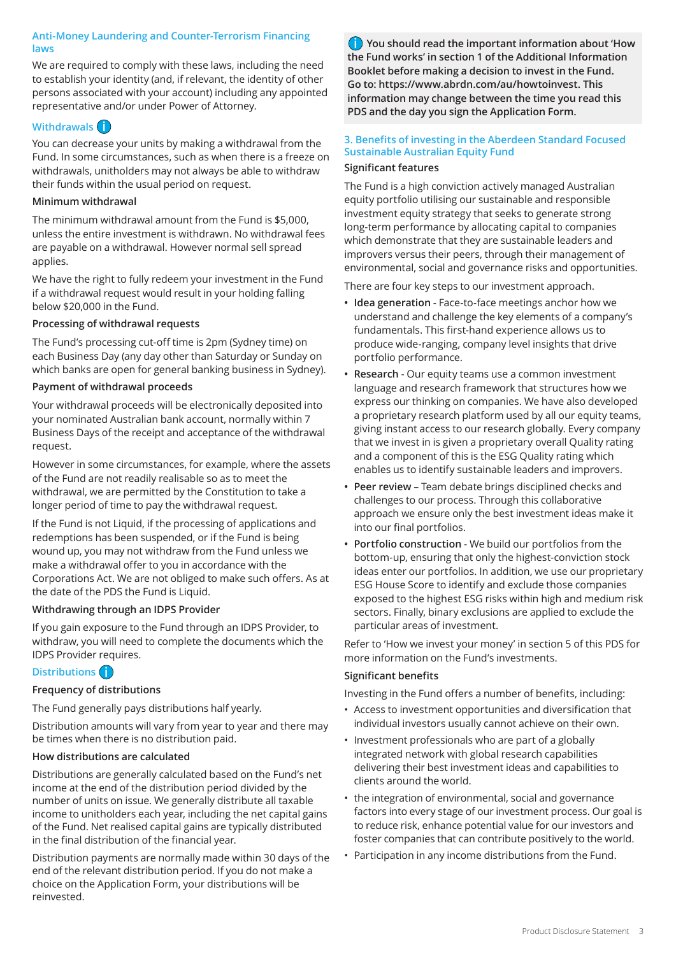## **Anti-Money Laundering and Counter-Terrorism Financing laws**

We are required to comply with these laws, including the need to establish your identity (and, if relevant, the identity of other persons associated with your account) including any appointed representative and/or under Power of Attorney.

# **Withdrawals i**

You can decrease your units by making a withdrawal from the Fund. In some circumstances, such as when there is a freeze on withdrawals, unitholders may not always be able to withdraw their funds within the usual period on request.

## **Minimum withdrawal**

The minimum withdrawal amount from the Fund is \$5,000, unless the entire investment is withdrawn. No withdrawal fees are payable on a withdrawal. However normal sell spread applies.

We have the right to fully redeem your investment in the Fund if a withdrawal request would result in your holding falling below \$20,000 in the Fund.

## **Processing of withdrawal requests**

The Fund's processing cut-off time is 2pm (Sydney time) on each Business Day (any day other than Saturday or Sunday on which banks are open for general banking business in Sydney).

## **Payment of withdrawal proceeds**

Your withdrawal proceeds will be electronically deposited into your nominated Australian bank account, normally within 7 Business Days of the receipt and acceptance of the withdrawal request.

However in some circumstances, for example, where the assets of the Fund are not readily realisable so as to meet the withdrawal, we are permitted by the Constitution to take a longer period of time to pay the withdrawal request.

If the Fund is not Liquid, if the processing of applications and redemptions has been suspended, or if the Fund is being wound up, you may not withdraw from the Fund unless we make a withdrawal offer to you in accordance with the Corporations Act. We are not obliged to make such offers. As at the date of the PDS the Fund is Liquid.

## **Withdrawing through an IDPS Provider**

If you gain exposure to the Fund through an IDPS Provider, to withdraw, you will need to complete the documents which the IDPS Provider requires.

# **Distributions i**

## **Frequency of distributions**

The Fund generally pays distributions half yearly.

Distribution amounts will vary from year to year and there may be times when there is no distribution paid.

## **How distributions are calculated**

Distributions are generally calculated based on the Fund's net income at the end of the distribution period divided by the number of units on issue. We generally distribute all taxable income to unitholders each year, including the net capital gains of the Fund. Net realised capital gains are typically distributed in the final distribution of the financial year.

Distribution payments are normally made within 30 days of the end of the relevant distribution period. If you do not make a choice on the Application Form, your distributions will be reinvested.

**i You should read the important information about 'How the Fund works' in section 1 of the Additional Information Booklet before making a decision to invest in the Fund. Go to: https://www.abrdn.com/au/howtoinvest. This information may change between the time you read this PDS and the day you sign the Application Form.**

## **3. Benefits of investing in the Aberdeen Standard Focused Sustainable Australian Equity Fund**

## **Significant features**

The Fund is a high conviction actively managed Australian equity portfolio utilising our sustainable and responsible investment equity strategy that seeks to generate strong long-term performance by allocating capital to companies which demonstrate that they are sustainable leaders and improvers versus their peers, through their management of environmental, social and governance risks and opportunities.

There are four key steps to our investment approach.

- **• Idea generation**  Face-to-face meetings anchor how we understand and challenge the key elements of a company's fundamentals. This first-hand experience allows us to produce wide-ranging, company level insights that drive portfolio performance.
- **• Research**  Our equity teams use a common investment language and research framework that structures how we express our thinking on companies. We have also developed a proprietary research platform used by all our equity teams, giving instant access to our research globally. Every company that we invest in is given a proprietary overall Quality rating and a component of this is the ESG Quality rating which enables us to identify sustainable leaders and improvers.
- **• Peer review** Team debate brings disciplined checks and challenges to our process. Through this collaborative approach we ensure only the best investment ideas make it into our final portfolios.
- **• Portfolio construction** We build our portfolios from the bottom-up, ensuring that only the highest-conviction stock ideas enter our portfolios. In addition, we use our proprietary ESG House Score to identify and exclude those companies exposed to the highest ESG risks within high and medium risk sectors. Finally, binary exclusions are applied to exclude the particular areas of investment.

Refer to 'How we invest your money' in section 5 of this PDS for more information on the Fund's investments.

## **Significant benefits**

Investing in the Fund offers a number of benefits, including:

- Access to investment opportunities and diversification that individual investors usually cannot achieve on their own.
- Investment professionals who are part of a globally integrated network with global research capabilities delivering their best investment ideas and capabilities to clients around the world.
- the integration of environmental, social and governance factors into every stage of our investment process. Our goal is to reduce risk, enhance potential value for our investors and foster companies that can contribute positively to the world.
- Participation in any income distributions from the Fund.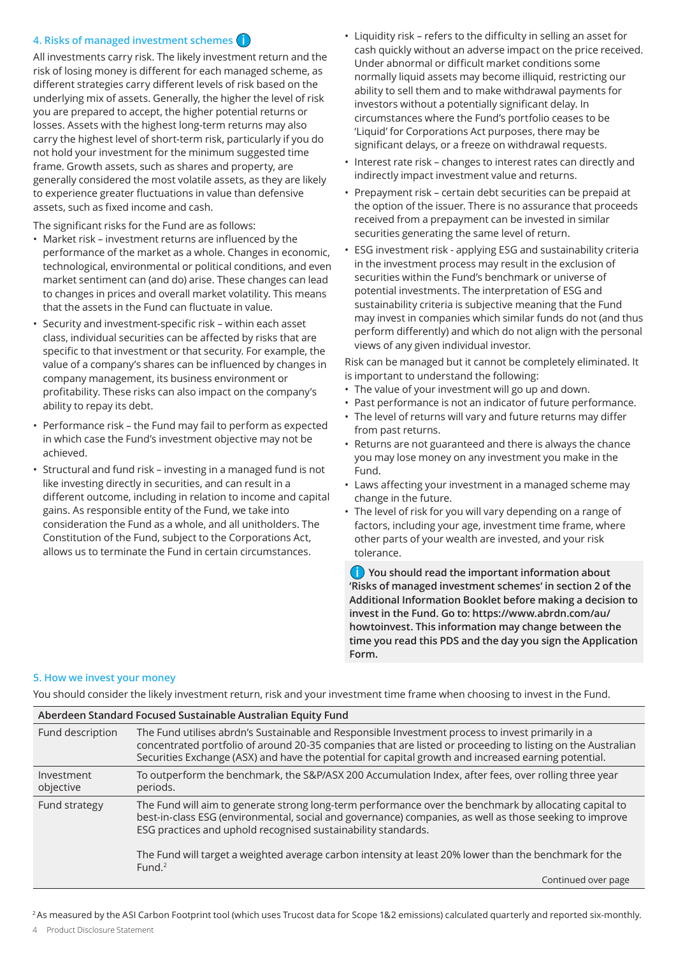## **4. Risks of managed investment schemes i**

All investments carry risk. The likely investment return and the risk of losing money is different for each managed scheme, as different strategies carry different levels of risk based on the underlying mix of assets. Generally, the higher the level of risk you are prepared to accept, the higher potential returns or losses. Assets with the highest long-term returns may also carry the highest level of short-term risk, particularly if you do not hold your investment for the minimum suggested time frame. Growth assets, such as shares and property, are generally considered the most volatile assets, as they are likely to experience greater fluctuations in value than defensive assets, such as fixed income and cash.

The significant risks for the Fund are as follows:

- Market risk investment returns are influenced by the performance of the market as a whole. Changes in economic, technological, environmental or political conditions, and even market sentiment can (and do) arise. These changes can lead to changes in prices and overall market volatility. This means that the assets in the Fund can fluctuate in value.
- Security and investment-specific risk within each asset class, individual securities can be affected by risks that are specific to that investment or that security. For example, the value of a company's shares can be influenced by changes in company management, its business environment or profitability. These risks can also impact on the company's ability to repay its debt.
- Performance risk the Fund may fail to perform as expected in which case the Fund's investment objective may not be achieved.
- Structural and fund risk investing in a managed fund is not like investing directly in securities, and can result in a different outcome, including in relation to income and capital gains. As responsible entity of the Fund, we take into consideration the Fund as a whole, and all unitholders. The Constitution of the Fund, subject to the Corporations Act, allows us to terminate the Fund in certain circumstances.
- Liquidity risk refers to the difficulty in selling an asset for cash quickly without an adverse impact on the price received. Under abnormal or difficult market conditions some normally liquid assets may become illiquid, restricting our ability to sell them and to make withdrawal payments for investors without a potentially significant delay. In circumstances where the Fund's portfolio ceases to be 'Liquid' for Corporations Act purposes, there may be significant delays, or a freeze on withdrawal requests.
- Interest rate risk changes to interest rates can directly and indirectly impact investment value and returns.
- Prepayment risk certain debt securities can be prepaid at the option of the issuer. There is no assurance that proceeds received from a prepayment can be invested in similar securities generating the same level of return.
- ESG investment risk applying ESG and sustainability criteria in the investment process may result in the exclusion of securities within the Fund's benchmark or universe of potential investments. The interpretation of ESG and sustainability criteria is subjective meaning that the Fund may invest in companies which similar funds do not (and thus perform differently) and which do not align with the personal views of any given individual investor.

Risk can be managed but it cannot be completely eliminated. It is important to understand the following:

- The value of your investment will go up and down.
- Past performance is not an indicator of future performance.
- The level of returns will vary and future returns may differ from past returns.
- Returns are not guaranteed and there is always the chance you may lose money on any investment you make in the Fund.
- Laws affecting your investment in a managed scheme may change in the future.
- The level of risk for you will vary depending on a range of factors, including your age, investment time frame, where other parts of your wealth are invested, and your risk tolerance.

**i You should read the important information about 'Risks of managed investment schemes' in section 2 of the Additional Information Booklet before making a decision to invest in the Fund. Go to: https://www.abrdn.com/au/ howtoinvest. This information may change between the time you read this PDS and the day you sign the Application Form.**

#### **5. How we invest your money**

You should consider the likely investment return, risk and your investment time frame when choosing to invest in the Fund.

| Aberdeen Standard Focused Sustainable Australian Equity Fund |                                                                                                                                                                                                                                                                                                                          |  |  |  |  |  |  |
|--------------------------------------------------------------|--------------------------------------------------------------------------------------------------------------------------------------------------------------------------------------------------------------------------------------------------------------------------------------------------------------------------|--|--|--|--|--|--|
| Fund description                                             | The Fund utilises abrdn's Sustainable and Responsible Investment process to invest primarily in a<br>concentrated portfolio of around 20-35 companies that are listed or proceeding to listing on the Australian<br>Securities Exchange (ASX) and have the potential for capital growth and increased earning potential. |  |  |  |  |  |  |
| Investment<br>objective                                      | To outperform the benchmark, the S&P/ASX 200 Accumulation Index, after fees, over rolling three year<br>periods.                                                                                                                                                                                                         |  |  |  |  |  |  |
| Fund strategy                                                | The Fund will aim to generate strong long-term performance over the benchmark by allocating capital to<br>best-in-class ESG (environmental, social and governance) companies, as well as those seeking to improve<br>ESG practices and uphold recognised sustainability standards.                                       |  |  |  |  |  |  |
|                                                              | The Fund will target a weighted average carbon intensity at least 20% lower than the benchmark for the<br>Fund. $2$                                                                                                                                                                                                      |  |  |  |  |  |  |
|                                                              | Continued over page                                                                                                                                                                                                                                                                                                      |  |  |  |  |  |  |

<sup>2</sup> As measured by the ASI Carbon Footprint tool (which uses Trucost data for Scope 1&2 emissions) calculated quarterly and reported six-monthly.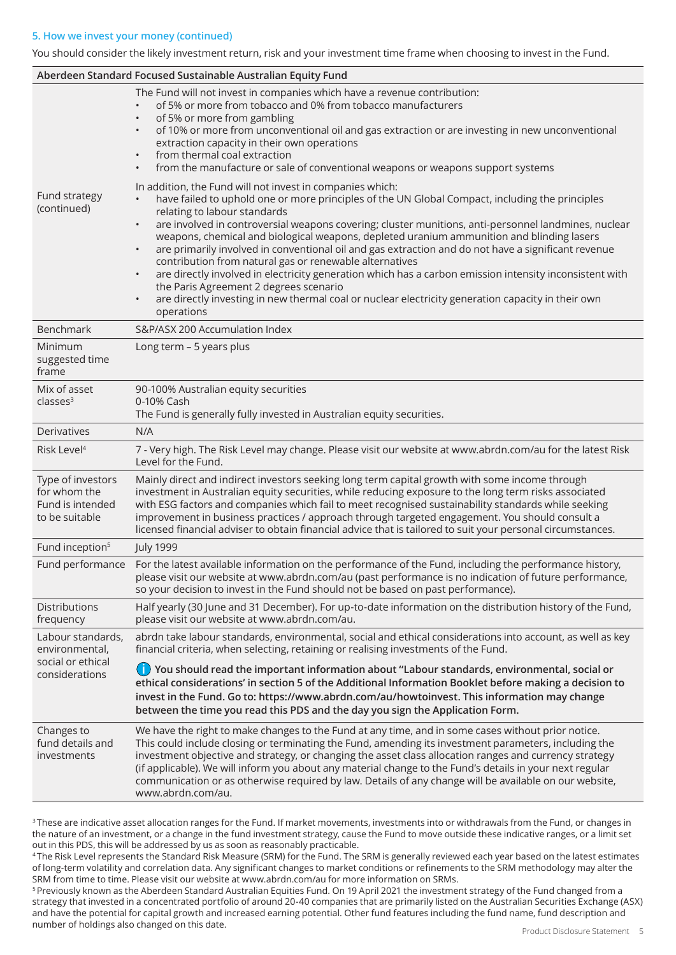## **5. How we invest your money (continued)**

You should consider the likely investment return, risk and your investment time frame when choosing to invest in the Fund.

| Aberdeen Standard Focused Sustainable Australian Equity Fund            |                                                                                                                                                                                                                                                                                                                                                                                                                                                                                                                                                                                                                                                                                                                                                                                                                                              |  |  |  |  |  |
|-------------------------------------------------------------------------|----------------------------------------------------------------------------------------------------------------------------------------------------------------------------------------------------------------------------------------------------------------------------------------------------------------------------------------------------------------------------------------------------------------------------------------------------------------------------------------------------------------------------------------------------------------------------------------------------------------------------------------------------------------------------------------------------------------------------------------------------------------------------------------------------------------------------------------------|--|--|--|--|--|
|                                                                         | The Fund will not invest in companies which have a revenue contribution:<br>of 5% or more from tobacco and 0% from tobacco manufacturers<br>of 5% or more from gambling<br>of 10% or more from unconventional oil and gas extraction or are investing in new unconventional<br>extraction capacity in their own operations<br>from thermal coal extraction<br>from the manufacture or sale of conventional weapons or weapons support systems                                                                                                                                                                                                                                                                                                                                                                                                |  |  |  |  |  |
| Fund strategy<br>(continued)                                            | In addition, the Fund will not invest in companies which:<br>have failed to uphold one or more principles of the UN Global Compact, including the principles<br>relating to labour standards<br>are involved in controversial weapons covering; cluster munitions, anti-personnel landmines, nuclear<br>weapons, chemical and biological weapons, depleted uranium ammunition and blinding lasers<br>are primarily involved in conventional oil and gas extraction and do not have a significant revenue<br>contribution from natural gas or renewable alternatives<br>are directly involved in electricity generation which has a carbon emission intensity inconsistent with<br>the Paris Agreement 2 degrees scenario<br>are directly investing in new thermal coal or nuclear electricity generation capacity in their own<br>operations |  |  |  |  |  |
| Benchmark                                                               | S&P/ASX 200 Accumulation Index                                                                                                                                                                                                                                                                                                                                                                                                                                                                                                                                                                                                                                                                                                                                                                                                               |  |  |  |  |  |
| Minimum<br>suggested time<br>frame                                      | Long term - 5 years plus                                                                                                                                                                                                                                                                                                                                                                                                                                                                                                                                                                                                                                                                                                                                                                                                                     |  |  |  |  |  |
| Mix of asset<br>classes <sup>3</sup>                                    | 90-100% Australian equity securities<br>0-10% Cash<br>The Fund is generally fully invested in Australian equity securities.                                                                                                                                                                                                                                                                                                                                                                                                                                                                                                                                                                                                                                                                                                                  |  |  |  |  |  |
| <b>Derivatives</b>                                                      | N/A                                                                                                                                                                                                                                                                                                                                                                                                                                                                                                                                                                                                                                                                                                                                                                                                                                          |  |  |  |  |  |
| Risk Level <sup>4</sup>                                                 | 7 - Very high. The Risk Level may change. Please visit our website at www.abrdn.com/au for the latest Risk<br>Level for the Fund.                                                                                                                                                                                                                                                                                                                                                                                                                                                                                                                                                                                                                                                                                                            |  |  |  |  |  |
| Type of investors<br>for whom the<br>Fund is intended<br>to be suitable | Mainly direct and indirect investors seeking long term capital growth with some income through<br>investment in Australian equity securities, while reducing exposure to the long term risks associated<br>with ESG factors and companies which fail to meet recognised sustainability standards while seeking<br>improvement in business practices / approach through targeted engagement. You should consult a<br>licensed financial adviser to obtain financial advice that is tailored to suit your personal circumstances.                                                                                                                                                                                                                                                                                                              |  |  |  |  |  |
| Fund inception <sup>5</sup>                                             | <b>July 1999</b>                                                                                                                                                                                                                                                                                                                                                                                                                                                                                                                                                                                                                                                                                                                                                                                                                             |  |  |  |  |  |
| Fund performance                                                        | For the latest available information on the performance of the Fund, including the performance history,<br>please visit our website at www.abrdn.com/au (past performance is no indication of future performance,<br>so your decision to invest in the Fund should not be based on past performance).                                                                                                                                                                                                                                                                                                                                                                                                                                                                                                                                        |  |  |  |  |  |
| <b>Distributions</b><br>frequency                                       | Half yearly (30 June and 31 December). For up-to-date information on the distribution history of the Fund,<br>please visit our website at www.abrdn.com/au.                                                                                                                                                                                                                                                                                                                                                                                                                                                                                                                                                                                                                                                                                  |  |  |  |  |  |
| Labour standards,<br>environmental,                                     | abrdn take labour standards, environmental, social and ethical considerations into account, as well as key<br>financial criteria, when selecting, retaining or realising investments of the Fund.                                                                                                                                                                                                                                                                                                                                                                                                                                                                                                                                                                                                                                            |  |  |  |  |  |
| social or ethical<br>considerations                                     | (i) You should read the important information about "Labour standards, environmental, social or<br>ethical considerations' in section 5 of the Additional Information Booklet before making a decision to<br>invest in the Fund. Go to: https://www.abrdn.com/au/howtoinvest. This information may change<br>between the time you read this PDS and the day you sign the Application Form.                                                                                                                                                                                                                                                                                                                                                                                                                                                   |  |  |  |  |  |
| Changes to<br>fund details and<br>investments                           | We have the right to make changes to the Fund at any time, and in some cases without prior notice.<br>This could include closing or terminating the Fund, amending its investment parameters, including the<br>investment objective and strategy, or changing the asset class allocation ranges and currency strategy<br>(if applicable). We will inform you about any material change to the Fund's details in your next regular<br>communication or as otherwise required by law. Details of any change will be available on our website,<br>www.abrdn.com/au.                                                                                                                                                                                                                                                                             |  |  |  |  |  |

<sup>3</sup>These are indicative asset allocation ranges for the Fund. If market movements, investments into or withdrawals from the Fund, or changes in the nature of an investment, or a change in the fund investment strategy, cause the Fund to move outside these indicative ranges, or a limit set out in this PDS, this will be addressed by us as soon as reasonably practicable.

4 The Risk Level represents the Standard Risk Measure (SRM) for the Fund. The SRM is generally reviewed each year based on the latest estimates of long-term volatility and correlation data. Any significant changes to market conditions or refinements to the SRM methodology may alter the SRM from time to time. Please visit our website at www.abrdn.com/au for more information on SRMs.

4 Product Disclosure Statement Product Disclosure Statement 5 5 Previously known as the Aberdeen Standard Australian Equities Fund. On 19 April 2021 the investment strategy of the Fund changed from a strategy that invested in a concentrated portfolio of around 20-40 companies that are primarily listed on the Australian Securities Exchange (ASX) and have the potential for capital growth and increased earning potential. Other fund features including the fund name, fund description and number of holdings also changed on this date.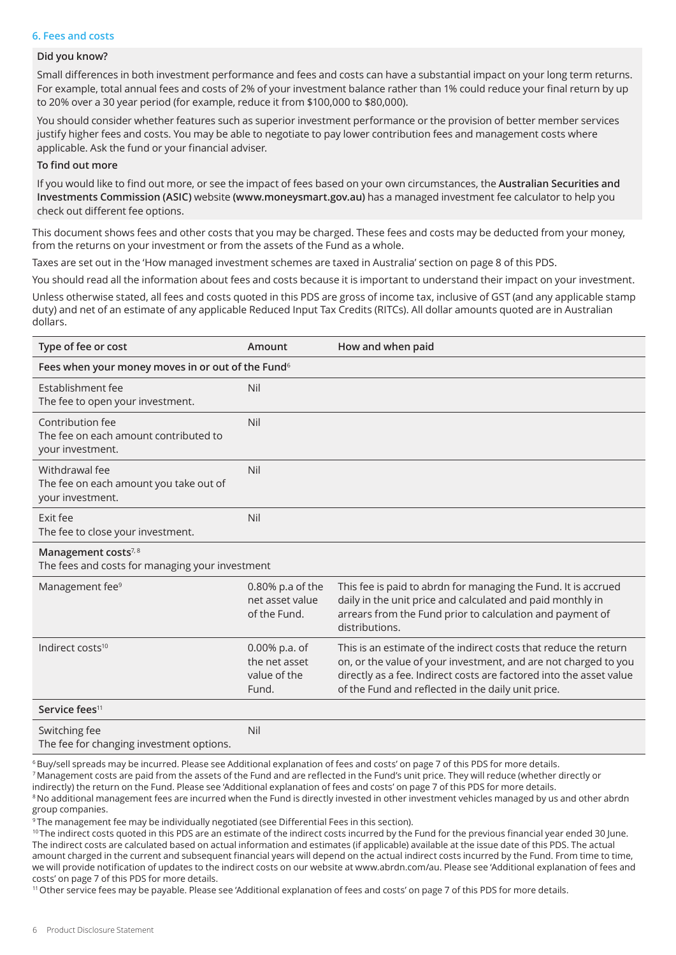## **6. Fees and costs**

## **Did you know?**

Small differences in both investment performance and fees and costs can have a substantial impact on your long term returns. For example, total annual fees and costs of 2% of your investment balance rather than 1% could reduce your final return by up to 20% over a 30 year period (for example, reduce it from \$100,000 to \$80,000).

You should consider whether features such as superior investment performance or the provision of better member services justify higher fees and costs. You may be able to negotiate to pay lower contribution fees and management costs where applicable. Ask the fund or your financial adviser.

#### **To find out more**

If you would like to find out more, or see the impact of fees based on your own circumstances, the **Australian Securities and Investments Commission (ASIC)** website **(www.moneysmart.gov.au)** has a managed investment fee calculator to help you check out different fee options.

This document shows fees and other costs that you may be charged. These fees and costs may be deducted from your money, from the returns on your investment or from the assets of the Fund as a whole.

Taxes are set out in the 'How managed investment schemes are taxed in Australia' section on page 8 of this PDS.

You should read all the information about fees and costs because it is important to understand their impact on your investment.

Unless otherwise stated, all fees and costs quoted in this PDS are gross of income tax, inclusive of GST (and any applicable stamp duty) and net of an estimate of any applicable Reduced Input Tax Credits (RITCs). All dollar amounts quoted are in Australian dollars.

| Type of fee or cost                                                                | Amount                                                  | How and when paid                                                                                                                                                                                                                                                |  |  |  |
|------------------------------------------------------------------------------------|---------------------------------------------------------|------------------------------------------------------------------------------------------------------------------------------------------------------------------------------------------------------------------------------------------------------------------|--|--|--|
| Fees when your money moves in or out of the Fund <sup>6</sup>                      |                                                         |                                                                                                                                                                                                                                                                  |  |  |  |
| Establishment fee<br>The fee to open your investment.                              | Nil                                                     |                                                                                                                                                                                                                                                                  |  |  |  |
| Contribution fee<br>The fee on each amount contributed to<br>your investment.      | Nil                                                     |                                                                                                                                                                                                                                                                  |  |  |  |
| Withdrawal fee<br>The fee on each amount you take out of<br>your investment.       | Nil                                                     |                                                                                                                                                                                                                                                                  |  |  |  |
| Exit fee<br>The fee to close your investment.                                      | Nil                                                     |                                                                                                                                                                                                                                                                  |  |  |  |
| Management costs <sup>7,8</sup><br>The fees and costs for managing your investment |                                                         |                                                                                                                                                                                                                                                                  |  |  |  |
| Management fee <sup>9</sup>                                                        | 0.80% p.a of the<br>net asset value<br>of the Fund.     | This fee is paid to abrdn for managing the Fund. It is accrued<br>daily in the unit price and calculated and paid monthly in<br>arrears from the Fund prior to calculation and payment of<br>distributions.                                                      |  |  |  |
| Indirect costs <sup>10</sup>                                                       | 0.00% p.a. of<br>the net asset<br>value of the<br>Fund. | This is an estimate of the indirect costs that reduce the return<br>on, or the value of your investment, and are not charged to you<br>directly as a fee. Indirect costs are factored into the asset value<br>of the Fund and reflected in the daily unit price. |  |  |  |
| Service fees <sup>11</sup>                                                         |                                                         |                                                                                                                                                                                                                                                                  |  |  |  |
| Switching fee<br>The fee for changing investment options.                          | Nil                                                     |                                                                                                                                                                                                                                                                  |  |  |  |

6 Buy/sell spreads may be incurred. Please see Additional explanation of fees and costs' on page 7 of this PDS for more details. 7 Management costs are paid from the assets of the Fund and are reflected in the Fund's unit price. They will reduce (whether directly or indirectly) the return on the Fund. Please see 'Additional explanation of fees and costs' on page 7 of this PDS for more details. <sup>8</sup> No additional management fees are incurred when the Fund is directly invested in other investment vehicles managed by us and other abrdn group companies.

<sup>9</sup> The management fee may be individually negotiated (see Differential Fees in this section).

<sup>10</sup> The indirect costs quoted in this PDS are an estimate of the indirect costs incurred by the Fund for the previous financial year ended 30 June. The indirect costs are calculated based on actual information and estimates (if applicable) available at the issue date of this PDS. The actual amount charged in the current and subsequent financial years will depend on the actual indirect costs incurred by the Fund. From time to time, we will provide notification of updates to the indirect costs on our website at www.abrdn.com/au. Please see 'Additional explanation of fees and costs' on page 7 of this PDS for more details.

11 Other service fees may be payable. Please see 'Additional explanation of fees and costs' on page 7 of this PDS for more details.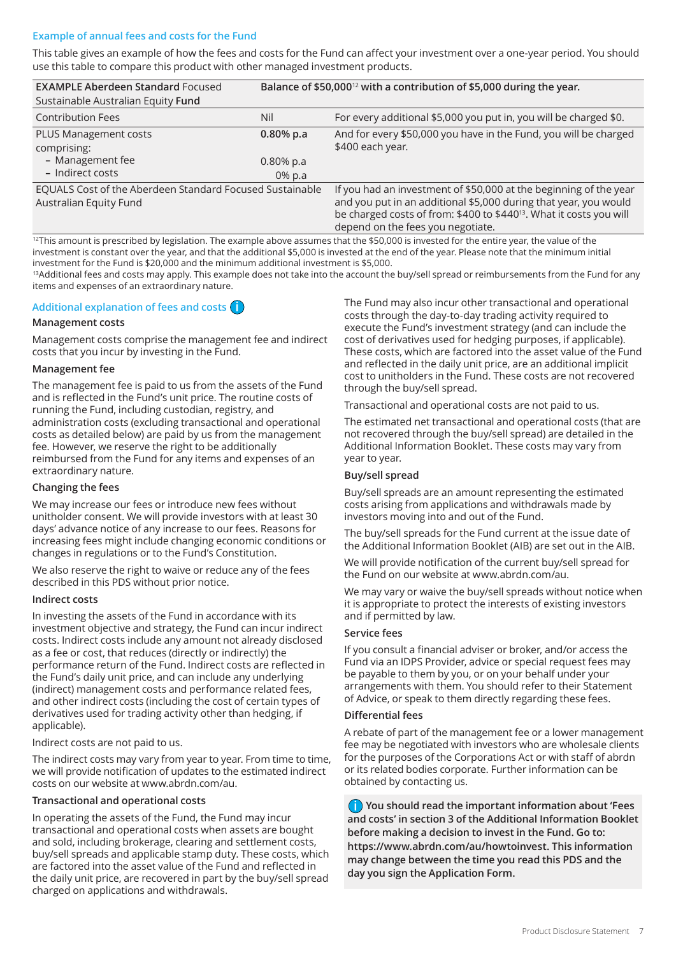## **Example of annual fees and costs for the Fund**

This table gives an example of how the fees and costs for the Fund can affect your investment over a one-year period. You should use this table to compare this product with other managed investment products.

| <b>EXAMPLE Aberdeen Standard Focused</b><br>Sustainable Australian Equity Fund     |                                       | Balance of \$50,000 <sup>12</sup> with a contribution of \$5,000 during the year.                                                                                                                                                                             |  |
|------------------------------------------------------------------------------------|---------------------------------------|---------------------------------------------------------------------------------------------------------------------------------------------------------------------------------------------------------------------------------------------------------------|--|
| <b>Contribution Fees</b>                                                           | Nil                                   | For every additional \$5,000 you put in, you will be charged \$0.                                                                                                                                                                                             |  |
| PLUS Management costs<br>comprising:<br>- Management fee<br>- Indirect costs       | $0.80%$ p.a<br>$0.80\%$ p.a<br>0% p.a | And for every \$50,000 you have in the Fund, you will be charged<br>\$400 each year.                                                                                                                                                                          |  |
| EQUALS Cost of the Aberdeen Standard Focused Sustainable<br>Australian Equity Fund |                                       | If you had an investment of \$50,000 at the beginning of the year<br>and you put in an additional \$5,000 during that year, you would<br>be charged costs of from: \$400 to \$440 <sup>13</sup> . What it costs you will<br>depend on the fees you negotiate. |  |

<sup>12</sup>This amount is prescribed by legislation. The example above assumes that the \$50,000 is invested for the entire year, the value of the investment is constant over the year, and that the additional \$5,000 is invested at the end of the year. Please note that the minimum initial investment for the Fund is \$20,000 and the minimum additional investment is \$5,000.

<sup>13</sup>Additional fees and costs may apply. This example does not take into the account the buy/sell spread or reimbursements from the Fund for any items and expenses of an extraordinary nature.

## **Additional explanation of fees and costs i**

#### **Management costs**

Management costs comprise the management fee and indirect costs that you incur by investing in the Fund.

#### **Management fee**

The management fee is paid to us from the assets of the Fund and is reflected in the Fund's unit price. The routine costs of running the Fund, including custodian, registry, and administration costs (excluding transactional and operational costs as detailed below) are paid by us from the management fee. However, we reserve the right to be additionally reimbursed from the Fund for any items and expenses of an extraordinary nature.

## **Changing the fees**

We may increase our fees or introduce new fees without unitholder consent. We will provide investors with at least 30 days' advance notice of any increase to our fees. Reasons for increasing fees might include changing economic conditions or changes in regulations or to the Fund's Constitution.

We also reserve the right to waive or reduce any of the fees described in this PDS without prior notice.

## **Indirect costs**

In investing the assets of the Fund in accordance with its investment objective and strategy, the Fund can incur indirect costs. Indirect costs include any amount not already disclosed as a fee or cost, that reduces (directly or indirectly) the performance return of the Fund. Indirect costs are reflected in the Fund's daily unit price, and can include any underlying (indirect) management costs and performance related fees, and other indirect costs (including the cost of certain types of derivatives used for trading activity other than hedging, if applicable).

Indirect costs are not paid to us.

The indirect costs may vary from year to year. From time to time, we will provide notification of updates to the estimated indirect costs on our website at www.abrdn.com/au.

#### **Transactional and operational costs**

In operating the assets of the Fund, the Fund may incur transactional and operational costs when assets are bought and sold, including brokerage, clearing and settlement costs, buy/sell spreads and applicable stamp duty. These costs, which are factored into the asset value of the Fund and reflected in the daily unit price, are recovered in part by the buy/sell spread charged on applications and withdrawals.

The Fund may also incur other transactional and operational costs through the day-to-day trading activity required to execute the Fund's investment strategy (and can include the cost of derivatives used for hedging purposes, if applicable). These costs, which are factored into the asset value of the Fund and reflected in the daily unit price, are an additional implicit cost to unitholders in the Fund. These costs are not recovered through the buy/sell spread.

Transactional and operational costs are not paid to us.

The estimated net transactional and operational costs (that are not recovered through the buy/sell spread) are detailed in the Additional Information Booklet. These costs may vary from year to year.

## **Buy/sell spread**

Buy/sell spreads are an amount representing the estimated costs arising from applications and withdrawals made by investors moving into and out of the Fund.

The buy/sell spreads for the Fund current at the issue date of the Additional Information Booklet (AIB) are set out in the AIB.

We will provide notification of the current buy/sell spread for the Fund on our website at www.abrdn.com/au.

We may vary or waive the buy/sell spreads without notice when it is appropriate to protect the interests of existing investors and if permitted by law.

#### **Service fees**

If you consult a financial adviser or broker, and/or access the Fund via an IDPS Provider, advice or special request fees may be payable to them by you, or on your behalf under your arrangements with them. You should refer to their Statement of Advice, or speak to them directly regarding these fees.

#### **Differential fees**

A rebate of part of the management fee or a lower management fee may be negotiated with investors who are wholesale clients for the purposes of the Corporations Act or with staff of abrdn or its related bodies corporate. Further information can be obtained by contacting us.

**i You should read the important information about 'Fees and costs' in section 3 of the Additional Information Booklet before making a decision to invest in the Fund. Go to: https://www.abrdn.com/au/howtoinvest. This information may change between the time you read this PDS and the day you sign the Application Form.**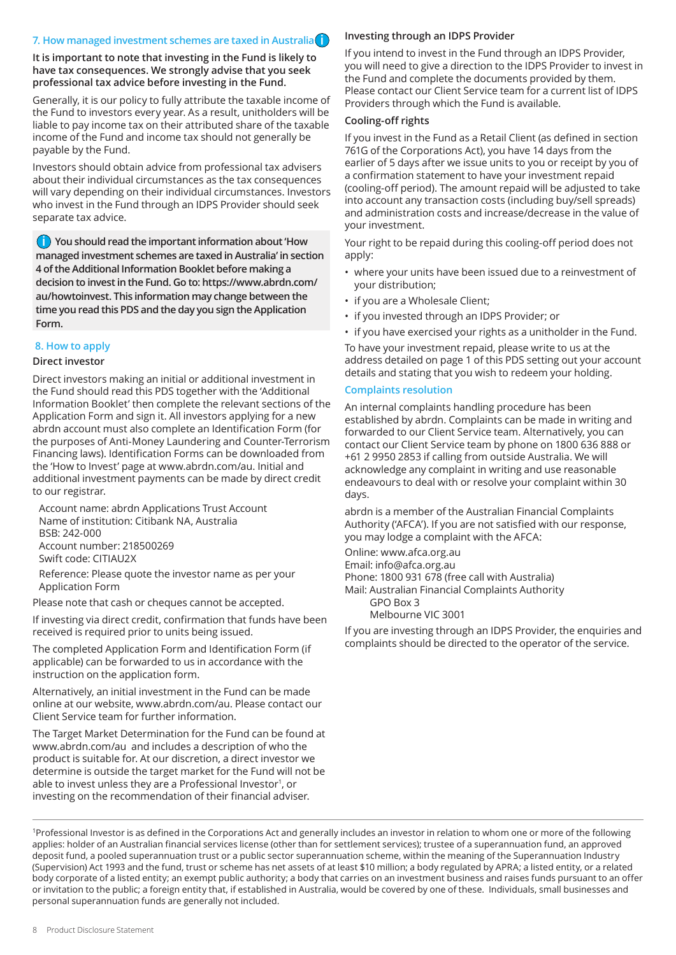## **7. How managed investment schemes are taxed in Australia i**

**It is important to note that investing in the Fund is likely to have tax consequences. We strongly advise that you seek professional tax advice before investing in the Fund.**

Generally, it is our policy to fully attribute the taxable income of the Fund to investors every year. As a result, unitholders will be liable to pay income tax on their attributed share of the taxable income of the Fund and income tax should not generally be payable by the Fund.

Investors should obtain advice from professional tax advisers about their individual circumstances as the tax consequences will vary depending on their individual circumstances. Investors who invest in the Fund through an IDPS Provider should seek separate tax advice.

**i You should read the important information about 'How managed investment schemes are taxed in Australia' in section 4 of the Additional Information Booklet before making a decision to invest in the Fund. Go to: https://www.abrdn.com/ au/howtoinvest. This information may change between the time you read this PDS and the day you sign the Application Form.**

## **8. How to apply**

#### **Direct investor**

Direct investors making an initial or additional investment in the Fund should read this PDS together with the 'Additional Information Booklet' then complete the relevant sections of the Application Form and sign it. All investors applying for a new abrdn account must also complete an Identification Form (for the purposes of Anti-Money Laundering and Counter-Terrorism Financing laws). Identification Forms can be downloaded from the 'How to Invest' page at www.abrdn.com/au. Initial and additional investment payments can be made by direct credit to our registrar.

Account name: abrdn Applications Trust Account Name of institution: Citibank NA, Australia BSB: 242-000 Account number: 218500269 Swift code: CITIAU2X

Reference: Please quote the investor name as per your Application Form

Please note that cash or cheques cannot be accepted.

If investing via direct credit, confirmation that funds have been received is required prior to units being issued.

The completed Application Form and Identification Form (if applicable) can be forwarded to us in accordance with the instruction on the application form.

Alternatively, an initial investment in the Fund can be made online at our website, www.abrdn.com/au. Please contact our Client Service team for further information.

The Target Market Determination for the Fund can be found at www.abrdn.com/au and includes a description of who the product is suitable for. At our discretion, a direct investor we determine is outside the target market for the Fund will not be able to invest unless they are a Professional Investor<sup>1</sup>, or investing on the recommendation of their financial adviser.

## **Investing through an IDPS Provider**

If you intend to invest in the Fund through an IDPS Provider, you will need to give a direction to the IDPS Provider to invest in the Fund and complete the documents provided by them. Please contact our Client Service team for a current list of IDPS Providers through which the Fund is available.

#### **Cooling-off rights**

If you invest in the Fund as a Retail Client (as defined in section 761G of the Corporations Act), you have 14 days from the earlier of 5 days after we issue units to you or receipt by you of a confirmation statement to have your investment repaid (cooling-off period). The amount repaid will be adjusted to take into account any transaction costs (including buy/sell spreads) and administration costs and increase/decrease in the value of your investment.

Your right to be repaid during this cooling-off period does not apply:

- where your units have been issued due to a reinvestment of your distribution;
- if you are a Wholesale Client;
- if you invested through an IDPS Provider; or
- if you have exercised your rights as a unitholder in the Fund.

To have your investment repaid, please write to us at the address detailed on page 1 of this PDS setting out your account details and stating that you wish to redeem your holding.

#### **Complaints resolution**

An internal complaints handling procedure has been established by abrdn. Complaints can be made in writing and forwarded to our Client Service team. Alternatively, you can contact our Client Service team by phone on 1800 636 888 or +61 2 9950 2853 if calling from outside Australia. We will acknowledge any complaint in writing and use reasonable endeavours to deal with or resolve your complaint within 30 days.

abrdn is a member of the Australian Financial Complaints Authority ('AFCA'). If you are not satisfied with our response, you may lodge a complaint with the AFCA:

Online: www.afca.org.au

Email: info@afca.org.au

Phone: 1800 931 678 (free call with Australia)

Mail: Australian Financial Complaints Authority

GPO Box 3

Melbourne VIC 3001

If you are investing through an IDPS Provider, the enquiries and complaints should be directed to the operator of the service.

<sup>1</sup>Professional Investor is as defined in the Corporations Act and generally includes an investor in relation to whom one or more of the following applies: holder of an Australian financial services license (other than for settlement services); trustee of a superannuation fund, an approved deposit fund, a pooled superannuation trust or a public sector superannuation scheme, within the meaning of the Superannuation Industry (Supervision) Act 1993 and the fund, trust or scheme has net assets of at least \$10 million; a body regulated by APRA; a listed entity, or a related body corporate of a listed entity; an exempt public authority; a body that carries on an investment business and raises funds pursuant to an offer or invitation to the public; a foreign entity that, if established in Australia, would be covered by one of these. Individuals, small businesses and personal superannuation funds are generally not included.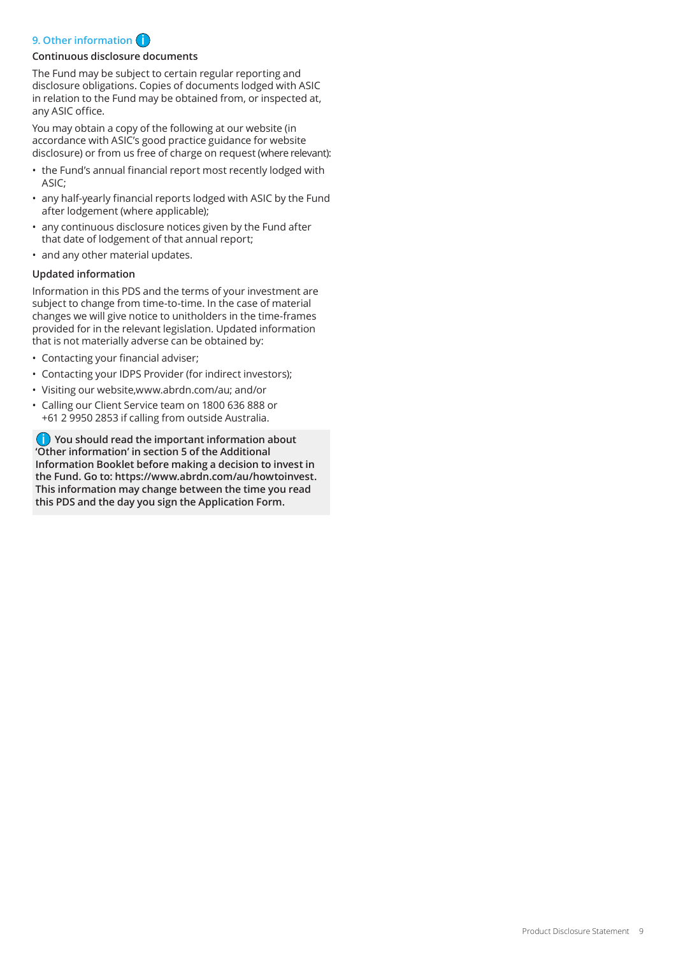# **9. Other information i**

## **Continuous disclosure documents**

The Fund may be subject to certain regular reporting and disclosure obligations. Copies of documents lodged with ASIC in relation to the Fund may be obtained from, or inspected at, any ASIC office.

You may obtain a copy of the following at our website (in accordance with ASIC's good practice guidance for website disclosure) or from us free of charge on request (where relevant):

- the Fund's annual financial report most recently lodged with ASIC;
- any half-yearly financial reports lodged with ASIC by the Fund after lodgement (where applicable);
- any continuous disclosure notices given by the Fund after that date of lodgement of that annual report;
- and any other material updates.

## **Updated information**

Information in this PDS and the terms of your investment are subject to change from time-to-time. In the case of material changes we will give notice to unitholders in the time-frames provided for in the relevant legislation. Updated information that is not materially adverse can be obtained by:

- Contacting your financial adviser;
- Contacting your IDPS Provider (for indirect investors);
- Visiting our website,www.abrdn.com/au; and/or
- Calling our Client Service team on 1800 636 888 or +61 2 9950 2853 if calling from outside Australia.

**i You should read the important information about 'Other information' in section 5 of the Additional Information Booklet before making a decision to invest in the Fund. Go to: https://www.abrdn.com/au/howtoinvest. This information may change between the time you read this PDS and the day you sign the Application Form.**